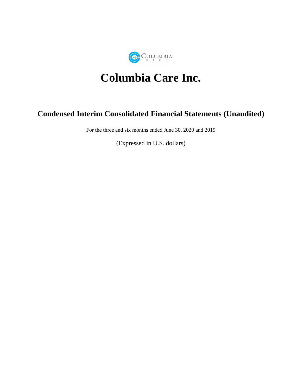

# **Columbia Care Inc.**

# **Condensed Interim Consolidated Financial Statements (Unaudited)**

For the three and six months ended June 30, 2020 and 2019

(Expressed in U.S. dollars)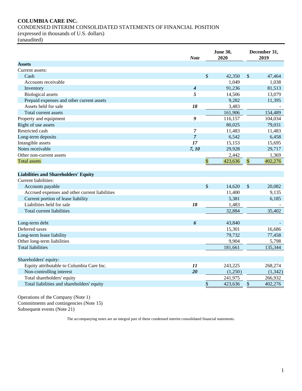# **COLUMBIA CARE INC.**

CONDENSED INTERIM CONSOLIDATED STATEMENTS OF FINANCIAL POSITION

(expressed in thousands of U.S. dollars)

(unaudited)

| <b>Assets</b><br>Current assets:<br>\$<br>\$<br>Cash<br>42,350<br>1,049<br>Accounts receivable<br>91,236<br>Inventory<br>$\boldsymbol{4}$<br><b>Biological</b> assets<br>5<br>14,506<br>Prepaid expenses and other current assets<br>9,282 | 47,464<br>1,038<br>81,513<br>13,079<br>11,395<br>154,489<br>104,034<br>79,031<br>11,483<br>6,458 |
|--------------------------------------------------------------------------------------------------------------------------------------------------------------------------------------------------------------------------------------------|--------------------------------------------------------------------------------------------------|
|                                                                                                                                                                                                                                            |                                                                                                  |
|                                                                                                                                                                                                                                            |                                                                                                  |
|                                                                                                                                                                                                                                            |                                                                                                  |
|                                                                                                                                                                                                                                            |                                                                                                  |
|                                                                                                                                                                                                                                            |                                                                                                  |
|                                                                                                                                                                                                                                            |                                                                                                  |
|                                                                                                                                                                                                                                            |                                                                                                  |
| 18<br>Assets held for sale<br>3,483                                                                                                                                                                                                        |                                                                                                  |
| 161,906<br>Total current assets                                                                                                                                                                                                            |                                                                                                  |
| 9<br>116,157<br>Property and equipment                                                                                                                                                                                                     |                                                                                                  |
| Right of use assets<br>80,025                                                                                                                                                                                                              |                                                                                                  |
| Restricted cash<br>$\overline{7}$<br>11,483                                                                                                                                                                                                |                                                                                                  |
| $\overline{7}$<br>6,542<br>Long-term deposits                                                                                                                                                                                              |                                                                                                  |
| 17<br>Intangible assets<br>15,153                                                                                                                                                                                                          | 15,695                                                                                           |
| Notes receivable<br>7, 10<br>29,928                                                                                                                                                                                                        | 29,717                                                                                           |
| 2,442<br>Other non-current assets                                                                                                                                                                                                          | 1,369                                                                                            |
| $\sqrt{3}$<br>$\sqrt{S}$<br>423,636<br><b>Total assets</b>                                                                                                                                                                                 | 402,276                                                                                          |
| <b>Liabilities and Shareholders' Equity</b>                                                                                                                                                                                                |                                                                                                  |
| Current liabilities:                                                                                                                                                                                                                       |                                                                                                  |
| \$<br>\$<br>14,620<br>Accounts payable                                                                                                                                                                                                     | 20,082                                                                                           |
| Accrued expenses and other current liabilities<br>11,400                                                                                                                                                                                   | 9,135                                                                                            |
| Current portion of lease liability<br>5,381                                                                                                                                                                                                | 6,185                                                                                            |
| Liabilities held for sale<br>18<br>1,483                                                                                                                                                                                                   |                                                                                                  |
| 32,884<br>Total current liabilities                                                                                                                                                                                                        | 35,402                                                                                           |
| 6<br>43,840<br>Long-term debt                                                                                                                                                                                                              |                                                                                                  |
| Deferred taxes<br>15,301                                                                                                                                                                                                                   | 16,686                                                                                           |
| 79,732<br>Long-term lease liability                                                                                                                                                                                                        | 77,458                                                                                           |
| Other long-term liabilities<br>9,904                                                                                                                                                                                                       | 5,798                                                                                            |
| <b>Total liabilities</b><br>181,661                                                                                                                                                                                                        | 135,344                                                                                          |
|                                                                                                                                                                                                                                            |                                                                                                  |
| Shareholders' equity:                                                                                                                                                                                                                      |                                                                                                  |
| Equity attributable to Columbia Care Inc.<br>11<br>243,225                                                                                                                                                                                 | 268,274                                                                                          |
| 20<br>Non-controlling interest<br>(1,250)                                                                                                                                                                                                  | (1, 342)                                                                                         |
| Total shareholders' equity<br>241,975                                                                                                                                                                                                      | 266,932                                                                                          |
| \$<br>Total liabilities and shareholders' equity<br>\$<br>423,636                                                                                                                                                                          | 402,276                                                                                          |

Operations of the Company (Note 1) Commitments and contingencies (Note 15) Subsequent events (Note 21)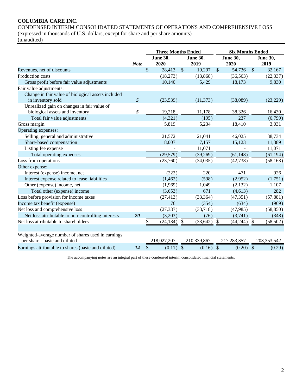# **COLUMBIA CARE INC.**

CONDENSED INTERIM CONSOLIDATED STATEMENTS OF OPERATIONS AND COMPREHENSIVE LOSS (expressed in thousands of U.S. dollars, except for share and per share amounts)

|                                                                                     |             | <b>Three Months Ended</b> |                         |             |                         | <b>Six Months Ended</b>   |                         |               |                         |
|-------------------------------------------------------------------------------------|-------------|---------------------------|-------------------------|-------------|-------------------------|---------------------------|-------------------------|---------------|-------------------------|
|                                                                                     | <b>Note</b> |                           | <b>June 30,</b><br>2020 |             | <b>June 30,</b><br>2019 |                           | <b>June 30,</b><br>2020 |               | <b>June 30,</b><br>2019 |
| Revenues, net of discounts                                                          |             | $\mathbb{S}$              | 28,413                  | $\sqrt{\ }$ | 19,297                  | $\mathcal{S}$             | 54,736                  | $\mathcal{S}$ | 32,167                  |
| Production costs                                                                    |             |                           | (18,273)                |             | (13,868)                |                           | (36, 563)               |               | (22, 337)               |
| Gross profit before fair value adjustments                                          |             |                           | 10,140                  |             | 5,429                   |                           | 18,173                  |               | 9,830                   |
| Fair value adjustments:                                                             |             |                           |                         |             |                         |                           |                         |               |                         |
| Change in fair value of biological assets included                                  |             |                           |                         |             |                         |                           |                         |               |                         |
| in inventory sold                                                                   | 5           |                           | (23,539)                |             | (11, 373)               |                           | (38,089)                |               | (23, 229)               |
| Unrealized gain on changes in fair value of                                         |             |                           |                         |             |                         |                           |                         |               |                         |
| biological assets and inventory                                                     | 5           |                           | 19,218                  |             | 11,178                  |                           | 38,326                  |               | 16,430                  |
| Total fair value adjustments                                                        |             |                           | (4,321)                 |             | (195)                   |                           | 237                     |               | (6,799)                 |
| Gross margin                                                                        |             |                           | 5,819                   |             | 5,234                   |                           | 18,410                  |               | 3,031                   |
| Operating expenses:                                                                 |             |                           |                         |             |                         |                           |                         |               |                         |
| Selling, general and administrative                                                 |             |                           | 21,572                  |             | 21,041                  |                           | 46,025                  |               | 38,734                  |
| Share-based compensation                                                            |             |                           | 8,007                   |             | 7,157                   |                           | 15,123                  |               | 11,389                  |
| Listing fee expense                                                                 |             |                           |                         |             | 11,071                  |                           |                         |               | 11,071                  |
| Total operating expenses                                                            |             |                           | (29, 579)               |             | (39,269)                |                           | (61, 148)               |               | (61, 194)               |
| Loss from operations                                                                |             |                           | (23,760)                |             | (34,035)                |                           | (42, 738)               |               | (58, 163)               |
| Other expense:                                                                      |             |                           |                         |             |                         |                           |                         |               |                         |
| Interest (expense) income, net                                                      |             |                           | (222)                   |             | 220                     |                           | 471                     |               | 926                     |
| Interest expense related to lease liabilities                                       |             |                           | (1, 462)                |             | (598)                   |                           | (2,952)                 |               | (1,751)                 |
| Other (expense) income, net                                                         |             |                           | (1,969)                 |             | 1,049                   |                           | (2,132)                 |               | 1,107                   |
| Total other (expense) income                                                        |             |                           | (3,653)                 |             | 671                     |                           | (4, 613)                |               | 282                     |
| Loss before provision for income taxes                                              |             |                           | (27, 413)               |             | (33, 364)               |                           | (47, 351)               |               | (57, 881)               |
| Income tax benefit (expense)                                                        |             |                           | 76                      |             | (354)                   |                           | (634)                   |               | (969)                   |
| Net loss and comprehensive loss                                                     |             |                           | (27, 337)               |             | (33,718)                |                           | (47,985)                |               | (58, 850)               |
| Net loss attributable to non-controlling interests                                  | 20          |                           | (3,203)                 |             | (76)                    |                           | (3,741)                 |               | (348)                   |
| Net loss attributable to shareholders                                               |             | \$                        | (24, 134)               | \$          | (33, 642)               | $\boldsymbol{\mathsf{S}}$ | (44, 244)               | \$            | (58, 502)               |
|                                                                                     |             |                           |                         |             |                         |                           |                         |               |                         |
| Weighted-average number of shares used in earnings<br>per share - basic and diluted |             |                           | 218,027,207             |             | 210,339,867             |                           | 217,283,357             |               | 203, 353, 542           |
| Earnings attributable to shares (basic and diluted)                                 | 14          | \$                        | $(0.11)$ \$             |             | $(0.16)$ \$             |                           | $(0.20)$ \$             |               | (0.29)                  |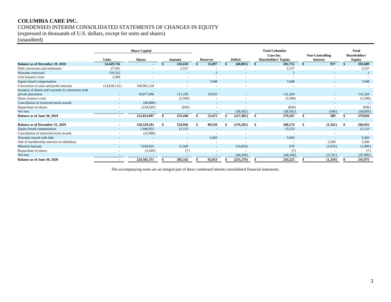# **COLUMBIA CARE INC.** CONDENSED INTERIM CONSOLIDATED STATEMENTS OF CHANGES IN EQUITY

(expressed in thousands of U.S. dollars, except for units and shares)

(unaudited)

|                                                    |                          | <b>Share Capital</b> |    |         |                 |  |                | <b>Total Columbia</b> |                                          |  |                                    |      | <b>Total</b>                   |
|----------------------------------------------------|--------------------------|----------------------|----|---------|-----------------|--|----------------|-----------------------|------------------------------------------|--|------------------------------------|------|--------------------------------|
|                                                    | <b>Units</b>             | <b>Shares</b>        |    | Amount  | <b>Reserves</b> |  | <b>Deficit</b> |                       | Care Inc.<br><b>Shareholders' Equity</b> |  | Non-Controlling<br><b>Interest</b> |      | Shareholders'<br><b>Equity</b> |
| <b>Balance as of December 29, 2018</b>             | 14,449,736               | $\overline{a}$       |    | 245,658 | 25,897          |  | (68, 803)      |                       | 202,752                                  |  | 937                                |      | 203,689                        |
| Debt conversion and settlement                     | 27,561                   |                      |    | 2,537   |                 |  |                |                       | 2,537                                    |  |                                    |      | 2,537                          |
| Warrants exercised                                 | 159,325                  |                      |    |         |                 |  |                |                       |                                          |  |                                    |      |                                |
| Unit issuance costs                                | 2,490                    |                      |    |         |                 |  |                |                       |                                          |  |                                    |      |                                |
| Equity-based compensation                          |                          |                      |    |         | 7.648           |  |                |                       | 7,648                                    |  |                                    |      | 7,648                          |
| Conversion of units and profit interests           | (14, 639, 112)           | 196,901,118          |    |         |                 |  |                |                       |                                          |  |                                    |      |                                |
| Issuance of shares and warrants in connection with |                          |                      |    |         |                 |  |                |                       |                                          |  |                                    |      |                                |
| private placement                                  |                          | 19,077,096           |    | 111,339 | 19,925          |  |                |                       | 131,264                                  |  |                                    |      | 131,264                        |
| Share issuance costs                               |                          |                      |    | (5,598) |                 |  |                |                       | (5,598)                                  |  |                                    |      | (5,598)                        |
| Cancellation of restricted stock awards            |                          | (40,688)             |    |         |                 |  |                |                       |                                          |  |                                    |      |                                |
| Repurchase of shares                               | $\overline{a}$           | (124, 429)           |    | (836)   |                 |  |                |                       | (836)                                    |  |                                    |      | (836)                          |
| Net loss                                           |                          |                      |    |         |                 |  | (58, 502)      |                       | (58, 502)                                |  | (348)                              |      | (58, 850)                      |
| Balance as of June 30, 2019                        | $\overline{\phantom{a}}$ | 215,813,097          | -S | 353,100 | 53,472          |  | (127, 305)     | s.                    | 279,267                                  |  | 589                                | -\$  | 279,856                        |
|                                                    |                          |                      |    |         |                 |  |                |                       |                                          |  |                                    |      |                                |
| Balance as of December 31, 2019                    | $\blacksquare$           | 216,529,181          |    | 354,926 | 89,550          |  | (176,202)      | -S                    | 268,274                                  |  | (1,342)                            | - \$ | 266,932                        |
| Equity-based compensation                          |                          | 1,040,952            |    | 15,123  | ٠               |  |                |                       | 15,123                                   |  |                                    |      | 15,123                         |
| Cancellation of restricted stock awards            | $\overline{a}$           | (22,088)             |    |         | ٠               |  |                |                       |                                          |  |                                    |      |                                |
| Warrants issued with debt                          |                          |                      |    |         | 3,403           |  |                |                       | 3,403                                    |  |                                    |      | 3.403                          |
| Sale of membership interests in subsidiary         |                          |                      |    |         |                 |  |                |                       | $\overline{\phantom{a}}$                 |  | 5,509                              |      | 5,509                          |
| Minority buyouts                                   |                          | 7.038.835            |    | 15,500  | $\sim$          |  | (14,824)       |                       | 676                                      |  | (1,676)                            |      | (1,000)                        |
| Repurchase of shares                               |                          | (5,509)              |    | (7)     |                 |  |                |                       | (7)                                      |  |                                    |      | (7)                            |
| Net loss                                           |                          |                      |    |         |                 |  | (44, 244)      |                       | (44, 244)                                |  | (3,741)                            |      | (47,985)                       |
| Balance as of June 30, 2020                        |                          | 224,581,371          |    | 385,542 | 92,953          |  | (235,270)      |                       | 243,225                                  |  | (1,250)                            |      | 241,975                        |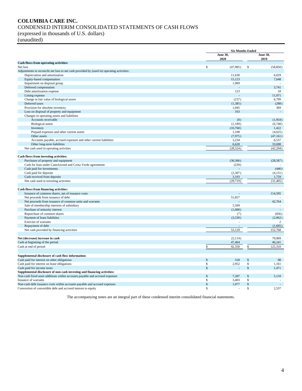# **COLUMBIA CARE INC.** CONDENSED INTERIM CONSOLIDATED STATEMENTS OF CASH FLOWS (expressed in thousands of U.S. dollars)

(unaudited)

|                                                                                           |               | <b>Six Months Ended</b> |               |                         |  |
|-------------------------------------------------------------------------------------------|---------------|-------------------------|---------------|-------------------------|--|
|                                                                                           |               | <b>June 30,</b><br>2020 |               | <b>June 30,</b><br>2019 |  |
| <b>Cash flows from operating activities:</b>                                              |               |                         |               |                         |  |
| Net loss                                                                                  | $\mathbb{S}$  | (47,985)                | \$            | (58, 850)               |  |
| Adjustments to reconcile net loss to net cash provided by (used in) operating activities: |               |                         |               |                         |  |
| Depreciation and amortization                                                             |               | 11,630                  |               | 6,029                   |  |
| Equity-based compensation                                                                 |               | 15,123                  |               | 7,648                   |  |
| Impairment on disposal group                                                              |               | 1,969                   |               |                         |  |
| Deferred compensation                                                                     |               |                         |               | 3,741                   |  |
| Debt amortization expense                                                                 |               | 123                     |               | 18                      |  |
| Listing expense                                                                           |               |                         |               | 11,071                  |  |
| Change in fair value of biological assets                                                 |               | (237)                   |               | 6,799                   |  |
| Deferred taxes                                                                            |               | (1, 385)                |               | (288)                   |  |
| Provision for obsolete inventory                                                          |               | 1,045                   |               | 369                     |  |
| Loss on disposal of property and equipment                                                |               | 163                     |               |                         |  |
| Changes in operating assets and liabilities                                               |               |                         |               |                         |  |
| Accounts receivable                                                                       |               | (8)                     |               | (1,954)                 |  |
| <b>Biological</b> assets                                                                  |               | (1,189)                 |               | (6,748)                 |  |
| Inventory                                                                                 |               | (10,768)                |               | 1,422                   |  |
| Prepaid expenses and other current assets                                                 |               | 1,108                   |               | (4,625)                 |  |
| Other assets                                                                              |               | (7, 975)                |               | (47, 161)               |  |
| Accounts payable, accrued expenses and other current liabilities                          |               | 3,234                   |               | 6,537                   |  |
| Other long-term liabilities                                                               |               | 6,628                   |               | 33,698                  |  |
| Net cash used in operating activities                                                     |               | (28, 524)               |               | (42, 294)               |  |
| Cash flows from investing activities:                                                     |               |                         |               |                         |  |
| Purchases of property and equipment                                                       |               | (30, 366)               |               | (28, 587)               |  |
| Cash for loan under CannAscend and Corsa Verde agreements                                 |               | (239)                   |               |                         |  |
| Cash paid for investments                                                                 |               |                         |               | (446)                   |  |
| Cash paid for deposits                                                                    |               | (2,307)                 |               | (4, 131)                |  |
| Cash received from deposits                                                               |               | 3,193                   |               | 1,759                   |  |
| Net cash used in investing activities                                                     |               | (29,719)                |               | (31, 405)               |  |
| Cash flows from financing activities:                                                     |               |                         |               |                         |  |
| Issuance of common shares, net of issuance costs                                          |               |                         |               | 114,595                 |  |
| Net proceeds from issuance of debt                                                        |               | 51,857                  |               |                         |  |
| Net proceeds from issuance of common units and warrants                                   |               |                         |               | 42,764                  |  |
| Sale of membership interests of subsidiary                                                |               | 5,509                   |               |                         |  |
| Purchase of minority interest                                                             |               | (1,000)                 |               |                         |  |
| Repurchase of common shares                                                               |               | (7)                     |               | (836)                   |  |
| Payment of lease liabilities                                                              |               | (3,230)                 |               | (2,062)                 |  |
| Exercise of warrants                                                                      |               |                         |               | $\overline{c}$          |  |
| Repayment of debt                                                                         |               | $\sim$                  |               | (1,695)                 |  |
| Net cash provided by financing activities                                                 |               | 53,129                  |               | 152,768                 |  |
| Net (decrease) increase in cash                                                           |               | (5, 114)                |               | 79,069                  |  |
| Cash at beginning of the period                                                           |               | 47,464                  |               | 46,241                  |  |
| Cash at end of period                                                                     | \$            | 42,350                  | S             | 125,310                 |  |
|                                                                                           |               |                         |               |                         |  |
| Supplemental disclosure of cash flow information:                                         |               |                         |               |                         |  |
| Cash paid for interest on other obligations                                               | $\$$          | 318                     | $\mathsf{\$}$ | 98                      |  |
| Cash paid for interest on lease obligations                                               | \$            | 2,952                   | $\mathbb{S}$  | 1,161                   |  |
| Cash paid for income taxes                                                                | $\mathsf{\$}$ |                         | $\mathbb{S}$  | 1,471                   |  |
| Supplemental disclosure of non-cash investing and financing activities:                   |               |                         |               |                         |  |
| Non-cash fixed asset additions within accounts payable and accrued expenses               | $\mathsf{\$}$ | 7,287                   | $\mathcal{S}$ | 5,110                   |  |
| Issuance of warrants                                                                      | \$            | 3,403                   | \$            |                         |  |
| Non-cash debt issuance costs within accounts payable and accrued expenses                 | \$            | 1,077                   | $\mathbb{S}$  |                         |  |
| Conversion of convertible debt and accrued interest to equity                             | \$            |                         | \$            | 2,537                   |  |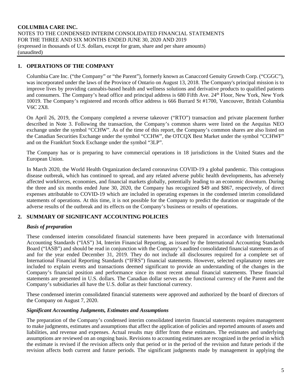### **1. OPERATIONS OF THE COMPANY**

Columbia Care Inc. ("the Company" or "the Parent"), formerly known as Canaccord Genuity Growth Corp. ("CGGC"), was incorporated under the laws of the Province of Ontario on August 13, 2018. The Company's principal mission is to improve lives by providing cannabis-based health and wellness solutions and derivative products to qualified patients and consumers. The Company's head office and principal address is 680 Fifth Ave. 24th Floor, New York, New York 10019. The Company's registered and records office address is 666 Burrard St #1700, Vancouver, British Columbia V6C 2X8.

On April 26, 2019, the Company completed a reverse takeover ("RTO") transaction and private placement further described in Note 3. Following the transaction, the Company's common shares were listed on the Aequitas NEO exchange under the symbol "CCHW". As of the time of this report, the Company's common shares are also listed on the Canadian Securities Exchange under the symbol "CCHW", the OTCQX Best Market under the symbol "CCHWF" and on the Frankfurt Stock Exchange under the symbol "3LP".

The Company has or is preparing to have commercial operations in 18 jurisdictions in the United States and the European Union.

In March 2020, the World Health Organization declared coronavirus COVID-19 a global pandemic. This contagious disease outbreak, which has continued to spread, and any related adverse public health developments, has adversely affected workforces, economies, and financial markets globally, potentially leading to an economic downturn. During the three and six months ended June 30, 2020, the Company has recognized \$49 and \$867, respectively, of direct expenses attributable to COVID-19 which are included in operating expenses in the condensed interim consolidated statements of operations. At this time, it is not possible for the Company to predict the duration or magnitude of the adverse results of the outbreak and its effects on the Company's business or results of operations.

# **2. SUMMARY OF SIGNIFICANT ACCOUNTING POLICIES**

#### *Basis of preparation*

These condensed interim consolidated financial statements have been prepared in accordance with International Accounting Standards ("IAS") 34, Interim Financial Reporting, as issued by the International Accounting Standards Board ("IASB") and should be read in conjunction with the Company's audited consolidated financial statements as of and for the year ended December 31, 2019. They do not include all disclosures required for a complete set of International Financial Reporting Standards ("IFRS") financial statements. However, selected explanatory notes are included to explain events and transactions deemed significant to provide an understanding of the changes in the Company's financial position and performance since its most recent annual financial statements. These financial statements are presented in U.S. dollars. The Canadian dollar serves as the functional currency of the Parent and the Company's subsidiaries all have the U.S. dollar as their functional currency.

These condensed interim consolidated financial statements were approved and authorized by the board of directors of the Company on August 7, 2020.

#### *Significant Accounting Judgments, Estimates and Assumptions*

The preparation of the Company's condensed interim consolidated interim financial statements requires management to make judgments, estimates and assumptions that affect the application of policies and reported amounts of assets and liabilities, and revenue and expenses. Actual results may differ from these estimates. The estimates and underlying assumptions are reviewed on an ongoing basis. Revisions to accounting estimates are recognized in the period in which the estimate is revised if the revision affects only that period or in the period of the revision and future periods if the revision affects both current and future periods. The significant judgments made by management in applying the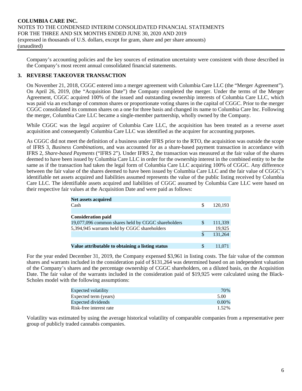Company's accounting policies and the key sources of estimation uncertainty were consistent with those described in the Company's most recent annual consolidated financial statements.

# **3. REVERSE TAKEOVER TRANSACTION**

On November 21, 2018, CGGC entered into a merger agreement with Columbia Care LLC (the "Merger Agreement"). On April 26, 2019, (the "Acquisition Date") the Company completed the merger. Under the terms of the Merger Agreement, CGGC acquired 100% of the issued and outstanding ownership interests of Columbia Care LLC, which was paid via an exchange of common shares or proportionate voting shares in the capital of CGGC. Prior to the merger CGGC consolidated its common shares on a one for three basis and changed its name to Columbia Care Inc. Following the merger, Columbia Care LLC became a single-member partnership, wholly owned by the Company.

While CGGC was the legal acquirer of Columbia Care LLC, the acquisition has been treated as a reverse asset acquisition and consequently Columbia Care LLC was identified as the acquirer for accounting purposes.

As CGGC did not meet the definition of a business under IFRS prior to the RTO, the acquisition was outside the scope of IFRS 3, *Business Combinations*, and was accounted for as a share-based payment transaction in accordance with IFRS 2, *Share-based Payments* ("IFRS 2"). Under IFRS 2, the transaction was measured at the fair value of the shares deemed to have been issued by Columbia Care LLC in order for the ownership interest in the combined entity to be the same as if the transaction had taken the legal form of Columbia Care LLC acquiring 100% of CGGC. Any difference between the fair value of the shares deemed to have been issued by Columbia Care LLC and the fair value of CGGC's identifiable net assets acquired and liabilities assumed represents the value of the public listing received by Columbia Care LLC. The identifiable assets acquired and liabilities of CGGC assumed by Columbia Care LLC were based on their respective fair values at the Acquisition Date and were paid as follows:

| <b>Net assets acquired</b>                         |   |         |
|----------------------------------------------------|---|---------|
| Cash                                               | S | 120.193 |
|                                                    |   |         |
| <b>Consideration paid</b>                          |   |         |
| 19,077,096 common shares held by CGGC shareholders | S | 111,339 |
| 5,394,945 warrants held by CGGC shareholders       |   | 19.925  |
|                                                    | S | 131,264 |
|                                                    |   |         |
| Value attributable to obtaining a listing status   | S | 11.071  |

For the year ended December 31, 2019, the Company expensed \$3,961 in listing costs. The fair value of the common shares and warrants included in the consideration paid of \$131,264 was determined based on an independent valuation of the Company's shares and the percentage ownership of CGGC shareholders, on a diluted basis, on the Acquisition Date. The fair value of the warrants included in the consideration paid of \$19,925 were calculated using the Black-Scholes model with the following assumptions:

| Expected volatility     | 70%      |
|-------------------------|----------|
| Expected term (years)   | 5.00     |
| Expected dividends      | $0.00\%$ |
| Risk-free interest rate | 1.52%    |

Volatility was estimated by using the average historical volatility of comparable companies from a representative peer group of publicly traded cannabis companies.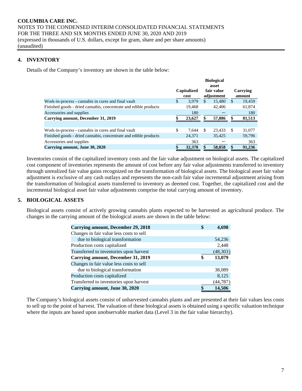# **4. INVENTORY**

Details of the Company's inventory are shown in the table below:

|                                                                  |                     |     | <b>Biological</b><br>asset |               |                    |
|------------------------------------------------------------------|---------------------|-----|----------------------------|---------------|--------------------|
|                                                                  | Capitalized<br>cost |     | fair value<br>adjustment   |               | Carrying<br>amount |
| Work-in-process - cannabis in cures and final vault              | \$<br>3.979         | S.  | 15.480                     | <sup>\$</sup> | 19.459             |
| Finished goods - dried cannabis, concentrate and edible products | 19.468              |     | 42,406                     |               | 61,874             |
| Accessories and supplies                                         | 180                 |     |                            |               | 180                |
| Carrying amount, December 31, 2019                               | 23,627              | S   | 57,886                     | \$            | 81,513             |
|                                                                  |                     |     |                            |               |                    |
| Work-in-process - cannabis in cures and final vault              | \$<br>7.644         | \$. | 23.433                     | <sup>\$</sup> | 31,077             |
| Finished goods - dried cannabis, concentrate and edible products | 24.371              |     | 35,425                     |               | 59,796             |
| Accessories and supplies                                         | 363                 |     |                            |               | 363                |
| Carrying amount, June 30, 2020                                   | 32,378              |     | 58,858                     | \$            | 91,236             |

Inventories consist of the capitalized inventory costs and the fair value adjustment on biological assets. The capitalized cost component of inventories represents the amount of cost before any fair value adjustments transferred to inventory through unrealized fair value gains recognized on the transformation of biological assets. The biological asset fair value adjustment is exclusive of any cash outlays and represents the non-cash fair value incremental adjustment arising from the transformation of biological assets transferred to inventory as deemed cost. Together, the capitalized cost and the incremental biological asset fair value adjustments comprise the total carrying amount of inventory.

#### **5. BIOLOGICAL ASSETS**

Biological assets consist of actively growing cannabis plants expected to be harvested as agricultural produce. The changes in the carrying amount of the biological assets are shown in the table below:

| <b>Carrying amount, December 29, 2018</b> | \$<br>4.698  |
|-------------------------------------------|--------------|
| Changes in fair value less costs to sell  |              |
| due to biological transformation          | 54,236       |
| Production costs capitalized              | 2,448        |
| Transferred to inventories upon harvest   | (48, 303)    |
| Carrying amount, December 31, 2019        | \$<br>13,079 |
| Changes in fair value less costs to sell  |              |
| due to biological transformation          | 38,089       |
| Production costs capitalized              | 8.125        |
| Transferred to inventories upon harvest   | (44, 787)    |
| Carrying amount, June 30, 2020            | 14.506       |

The Company's biological assets consist of unharvested cannabis plants and are presented at their fair values less costs to sell up to the point of harvest. The valuation of these biological assets is obtained using a specific valuation technique where the inputs are based upon unobservable market data (Level 3 in the fair value hierarchy).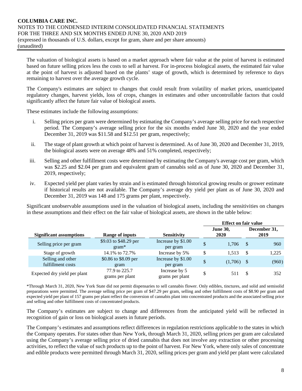The valuation of biological assets is based on a market approach where fair value at the point of harvest is estimated based on future selling prices less the costs to sell at harvest. For in-process biological assets, the estimated fair value at the point of harvest is adjusted based on the plants' stage of growth, which is determined by reference to days remaining to harvest over the average growth cycle.

The Company's estimates are subject to changes that could result from volatility of market prices, unanticipated regulatory changes, harvest yields, loss of crops, changes in estimates and other uncontrollable factors that could significantly affect the future fair value of biological assets.

These estimates include the following assumptions:

- i. Selling prices per gram were determined by estimating the Company's average selling price for each respective period. The Company's average selling price for the six months ended June 30, 2020 and the year ended December 31, 2019 was \$11.58 and \$12.51 per gram, respectively;
- ii. The stage of plant growth at which point of harvest is determined. As of June 30, 2020 and December 31, 2019, the biological assets were on average 48% and 51% completed, respectively;
- iii. Selling and other fulfillment costs were determined by estimating the Company's average cost per gram, which was \$2.25 and \$2.04 per gram and equivalent gram of cannabis sold as of June 30, 2020 and December 31, 2019, respectively;
- iv. Expected yield per plant varies by strain and is estimated through historical growing results or grower estimate if historical results are not available. The Company's average dry yield per plant as of June 30, 2020 and December 31, 2019 was 148 and 175 grams per plant, respectively.

Significant unobservable assumptions used in the valuation of biological assets, including the sensitivities on changes in these assumptions and their effect on the fair value of biological assets, are shown in the table below:

|                                        |                                  |                                  |                         | <b>Effect on fair value</b> |                      |  |  |  |
|----------------------------------------|----------------------------------|----------------------------------|-------------------------|-----------------------------|----------------------|--|--|--|
| <b>Significant assumptions</b>         | <b>Range of inputs</b>           | <b>Sensitivity</b>               | <b>June 30,</b><br>2020 |                             | December 31,<br>2019 |  |  |  |
| Selling price per gram                 | \$9.03 to \$48.29 per<br>$gram*$ | Increase by \$1.00<br>per gram   | \$<br>1.706             | $\mathcal{S}$               | 960                  |  |  |  |
| Stage of growth                        | 14.1\% to 72.7\%                 | Increase by 5%                   | \$<br>1,513             | -S                          | 1,225                |  |  |  |
| Selling and other<br>fulfillment costs | \$0.86 to \$8.09 per<br>gram     | Increase by \$1.00<br>per gram   | \$<br>$(1,706)$ \$      |                             | (960)                |  |  |  |
| Expected dry yield per plant           | 77.9 to 225.7<br>grams per plant | Increase by 5<br>grams per plant | \$<br>511               | -S                          | 352                  |  |  |  |

\*Through March 31, 2020, New York State did not permit dispensaries to sell cannabis flower. Only edibles, tinctures, and solid and semisolid preparations were permitted. The average selling price per gram of \$47.29 per gram, selling and other fulfillment costs of \$8.90 per gram and expected yield per plant of 157 grams per plant reflect the conversion of cannabis plant into concentrated products and the associated selling price and selling and other fulfillment costs of concentrated products.

The Company's estimates are subject to change and differences from the anticipated yield will be reflected in recognition of gain or loss on biological assets in future periods.

The Company's estimates and assumptions reflect differences in regulation restrictions applicable to the states in which the Company operates. For states other than New York, through March 31, 2020, selling prices per gram are calculated using the Company's average selling price of dried cannabis that does not involve any extraction or other processing activities, to reflect the value of such products up to the point of harvest. For New York, where only sales of concentrate and edible products were permitted through March 31, 2020, selling prices per gram and yield per plant were calculated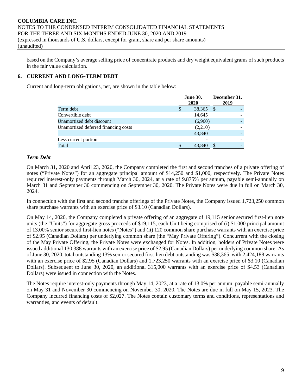based on the Company's average selling price of concentrate products and dry weight equivalent grams of such products in the fair value calculation.

# **6. CURRENT AND LONG-TERM DEBT**

Current and long-term obligations, net, are shown in the table below:

|                                      | <b>June 30,</b><br>2020 |   | December 31,<br>2019 |
|--------------------------------------|-------------------------|---|----------------------|
| Term debt                            | 38,365                  | S |                      |
| Convertible debt                     | 14,645                  |   |                      |
| Unamortized debt discount            | (6,960)                 |   |                      |
| Unamortized deferred financing costs | (2,210)                 |   |                      |
|                                      | 43,840                  |   |                      |
| Less current portion                 |                         |   |                      |
| Total                                | 43,840                  |   |                      |

### *Term Debt*

On March 31, 2020 and April 23, 2020, the Company completed the first and second tranches of a private offering of notes ("Private Notes") for an aggregate principal amount of \$14,250 and \$1,000, respectively. The Private Notes required interest-only payments through March 30, 2024, at a rate of 9.875% per annum, payable semi-annually on March 31 and September 30 commencing on September 30, 2020. The Private Notes were due in full on March 30, 2024.

In connection with the first and second tranche offerings of the Private Notes, the Company issued 1,723,250 common share purchase warrants with an exercise price of \$3.10 (Canadian Dollars).

On May 14, 2020, the Company completed a private offering of an aggregate of 19,115 senior secured first-lien note units (the "Units") for aggregate gross proceeds of \$19,115, each Unit being comprised of (i) \$1,000 principal amount of 13.00% senior secured first-lien notes ("Notes") and (ii) 120 common share purchase warrants with an exercise price of \$2.95 (Canadian Dollars) per underlying common share (the "May Private Offering"). Concurrent with the closing of the May Private Offering, the Private Notes were exchanged for Notes. In addition, holders of Private Notes were issued additional 130,388 warrants with an exercise price of \$2.95 (Canadian Dollars) per underlying common share. As of June 30, 2020, total outstanding 13% senior secured first-lien debt outstanding was \$38,365, with 2,424,188 warrants with an exercise price of \$2.95 (Canadian Dollars) and 1,723,250 warrants with an exercise price of \$3.10 (Canadian Dollars). Subsequent to June 30, 2020, an additional 315,000 warrants with an exercise price of \$4.53 (Canadian Dollars) were issued in connection with the Notes.

The Notes require interest-only payments through May 14, 2023, at a rate of 13.0% per annum, payable semi-annually on May 31 and November 30 commencing on November 30, 2020. The Notes are due in full on May 15, 2023. The Company incurred financing costs of \$2,027. The Notes contain customary terms and conditions, representations and warranties, and events of default.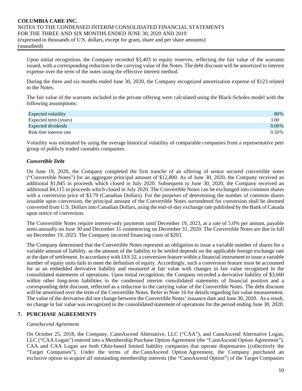Upon initial recognition, the Company recorded \$3,403 to equity reserves, reflecting the fair value of the warrants issued, with a corresponding reduction to the carrying value of the Notes. The debt discount will be amortized to interest expense over the term of the notes using the effective interest method.

During the three and six months ended June 30, 2020, the Company recognized amortization expense of \$123 related to the Notes.

The fair value of the warrants included in the private offering were calculated using the Black-Scholes model with the following assumptions:

| Expected volatility     | 80%      |
|-------------------------|----------|
| Expected term (years)   | 3.00     |
| Expected dividends      | $0.00\%$ |
| Risk-free interest rate | $0.50\%$ |

Volatility was estimated by using the average historical volatility of comparable companies from a representative peer group of publicly traded cannabis companies.

### *Convertible Debt*

On June 19, 2020, the Company completed the first tranche of an offering of senior secured convertible notes ("Convertible Notes") for an aggregate principal amount of \$12,800. As of June 30, 2020, the Company received an additional \$1,845 in proceeds which closed in July 2020. Subsequent to June 30, 2020, the Company received an additional \$4,115 in proceeds which closed in July 2020. The Convertible Notes can be exchanged into common shares with a conversion price of \$3.79 (Canadian Dollars). For the purposes of determining the number of common shares issuable upon conversion, the principal amount of the Convertible Notes surrendered for conversion shall be deemed converted from U.S. Dollars into Canadian Dollars, using the end-of-day exchange rate published by the Bank of Canada upon notice of conversion.

The Convertible Notes require interest-only payments until December 19, 2023, at a rate of 5.0% per annum, payable semi-annually on June 30 and December 31 commencing on December 31, 2020. The Convertible Notes are due in full on December 19, 2023. The Company incurred financing costs of \$203.

The Company determined that the Convertible Notes represent an obligation to issue a variable number of shares for a variable amount of liability, as the amount of the liability to be settled depends on the applicable foreign exchange rate at the date of settlement. In accordance with IAS 32, a conversion feature within a financial instrument to issue a variable number of equity units fails to meet the definition of equity. Accordingly, such a conversion feature must be accounted for as an embedded derivative liability and measured at fair value with changes in fair value recognized in the consolidated statements of operations. Upon initial recognition, the Company recorded a derivative liability of \$3,660 within other long-term liabilities in the condensed interim consolidated statements of financial position and a corresponding debt discount, reflected as a reduction to the carrying value of the Convertible Notes. The debt discount will be amortized over the term of the Convertible Notes. Refer to Note 16 for details regarding fair value measurement. The value of the derivative did not change between the Convertible Notes' issuance date and June 30, 2020. As a result, no change in fair value was recognized in the consolidated statement of operations for the period ending June 30, 2020.

#### **7. PURCHASE AGREEMENTS**

#### *CannAscend Agreement*

On October 25, 2018, the Company, CannAscend Alternative, LLC ("CAA"), and CannAscend Alternative Logan, LLC ("CAA Logan") entered into a Membership Purchase Option Agreement (the "CannAscend Option Agreement"). CAA and CAA Logan are both Ohio-based limited liability companies that operate dispensaries (collectively the "Target Companies"). Under the terms of the CannAscend Option Agreement, the Company purchased an exclusive option to acquire all outstanding membership interests (the "CannAscend Option") of the Target Companies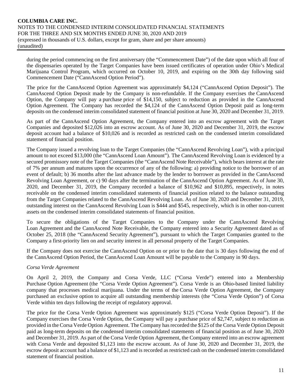during the period commencing on the first anniversary (the "Commencement Date") of the date upon which all four of the dispensaries operated by the Target Companies have been issued certificates of operation under Ohio's Medical Marijuana Control Program, which occurred on October 10, 2019, and expiring on the 30th day following said Commencement Date ("CannAscend Option Period").

The price for the CannAscend Option Agreement was approximately \$4,124 ("CannAscend Option Deposit"). The CannAscend Option Deposit made by the Company is non-refundable. If the Company exercises the CannAscend Option, the Company will pay a purchase price of \$14,150, subject to reduction as provided in the CannAscend Option Agreement. The Company has recorded the \$4,124 of the CannAscend Option Deposit paid as long-term deposits on the condensed interim consolidated statement of financial position at June 30, 2020 and December 31, 2019.

As part of the CannAscend Option Agreement, the Company entered into an escrow agreement with the Target Companies and deposited \$12,026 into an escrow account. As of June 30, 2020 and December 31, 2019, the escrow deposit account had a balance of \$10,026 and is recorded as restricted cash on the condensed interim consolidated statement of financial position.

The Company issued a revolving loan to the Target Companies (the "CannAscend Revolving Loan"), with a principal amount to not exceed \$13,000 (the "CannAscend Loan Amount"). The CannAscend Revolving Loan is evidenced by a secured promissory note of the Target Companies (the "CannAscend Note Receivable"), which bears interest at the rate of 7% per annum and matures upon the occurrence of any of the following: a) providing notice to the borrower of an event of default; b) 36 months after the last advance made by the lender to borrower as provided in the CannAscend Revolving Loan Agreement, or c) 90 days after the termination of the CannAscend Option Agreement. As of June 30, 2020, and December 31, 2019, the Company recorded a balance of \$10,962 and \$10,895, respectively, in notes receivable on the condensed interim consolidated statements of financial position related to the balance outstanding from the Target Companies related to the CannAscend Revolving Loan. As of June 30, 2020 and December 31, 2019, outstanding interest on the CannAscend Revolving Loan is \$444 and \$545, respectively, which is in other non-current assets on the condensed interim consolidated statements of financial position.

To secure the obligations of the Target Companies to the Company under the CannAscend Revolving Loan Agreement and the CannAscend Note Receivable, the Company entered into a Security Agreement dated as of October 25, 2018 (the "CannAscend Security Agreement"), pursuant to which the Target Companies granted to the Company a first-priority lien on and security interest in all personal property of the Target Companies.

If the Company does not exercise the CannAscend Option on or prior to the date that is 30 days following the end of the CannAscend Option Period, the CannAscend Loan Amount will be payable to the Company in 90 days.

#### *Corsa Verde Agreement*

On April 2, 2019, the Company and Corsa Verde, LLC ("Corsa Verde") entered into a Membership Purchase Option Agreement (the "Corsa Verde Option Agreement"). Corsa Verde is an Ohio-based limited liability company that processes medical marijuana. Under the terms of the Corsa Verde Option Agreement, the Company purchased an exclusive option to acquire all outstanding membership interests (the "Corsa Verde Option") of Corsa Verde within ten days following the receipt of regulatory approval.

The price for the Corsa Verde Option Agreement was approximately \$125 ("Corsa Verde Option Deposit"). If the Company exercises the Corsa Verde Option, the Company will pay a purchase price of \$2,747, subject to reduction as provided in the Corsa Verde Option Agreement. The Company has recorded the \$125 of the Corsa Verde Option Deposit paid as long-term deposits on the condensed interim consolidated statements of financial position as of June 30, 2020 and December 31, 2019. As part of the Corsa Verde Option Agreement, the Company entered into an escrow agreement with Corsa Verde and deposited \$1,123 into the escrow account. As of June 30, 2020 and December 31, 2019, the escrow deposit account had a balance of \$1,123 and is recorded as restricted cash on the condensed interim consolidated statement of financial position.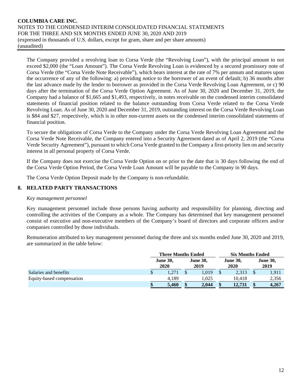The Company provided a revolving loan to Corsa Verde (the "Revolving Loan"), with the principal amount to not exceed \$2,000 (the "Loan Amount"). The Corsa Verde Revolving Loan is evidenced by a secured promissory note of Corsa Verde (the "Corsa Verde Note Receivable"), which bears interest at the rate of 7% per annum and matures upon the occurrence of any of the following: a) providing notice to the borrower of an event of default; b) 36 months after the last advance made by the lender to borrower as provided in the Corsa Verde Revolving Loan Agreement, or c) 90 days after the termination of the Corsa Verde Option Agreement. As of June 30, 2020 and December 31, 2019, the Company had a balance of \$1,665 and \$1,493, respectively, in notes receivable on the condensed interim consolidated statements of financial position related to the balance outstanding from Corsa Verde related to the Corsa Verde Revolving Loan. As of June 30, 2020 and December 31, 2019, outstanding interest on the Corsa Verde Revolving Loan is \$84 and \$27, respectively, which is in other non-current assets on the condensed interim consolidated statements of financial position.

To secure the obligations of Corsa Verde to the Company under the Corsa Verde Revolving Loan Agreement and the Corsa Verde Note Receivable, the Company entered into a Security Agreement dated as of April 2, 2019 (the "Corsa Verde Security Agreement"), pursuant to which Corsa Verde granted to the Company a first-priority lien on and security interest in all personal property of Corsa Verde.

If the Company does not exercise the Corsa Verde Option on or prior to the date that is 30 days following the end of the Corsa Verde Option Period, the Corsa Verde Loan Amount will be payable to the Company in 90 days.

The Corsa Verde Option Deposit made by the Company is non-refundable.

# **8. RELATED PARTY TRANSACTIONS**

#### *Key management personnel*

Key management personnel include those persons having authority and responsibility for planning, directing and controlling the activities of the Company as a whole. The Company has determined that key management personnel consist of executive and non-executive members of the Company's board of directors and corporate officers and/or companies controlled by those individuals.

Remuneration attributed to key management personnel during the three and six months ended June 30, 2020 and 2019, are summarized in the table below:

|                           |              | <b>Three Months Ended</b> |                         |   | <b>Six Months Ended</b> |    |                         |  |
|---------------------------|--------------|---------------------------|-------------------------|---|-------------------------|----|-------------------------|--|
|                           |              | <b>June 30,</b><br>2020   | <b>June 30,</b><br>2019 |   | <b>June 30,</b><br>2020 |    | <b>June 30,</b><br>2019 |  |
| Salaries and benefits     | $\mathbb{S}$ | 1.271                     | 1.019                   | S | 2,313                   |    | 1,911                   |  |
| Equity-based compensation |              | 4.189                     | 1,025                   |   | 10.418                  |    | 2,356                   |  |
|                           | \$           | 5.460                     | 2,044                   |   | 12,731                  | \$ | 4,267                   |  |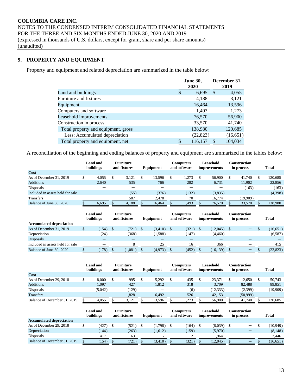# **9. PROPERTY AND EQUIPMENT**

Property and equipment and related depreciation are summarized in the table below:

|                                     | <b>June 30,</b><br>2020 |    | December 31,<br>2019 |
|-------------------------------------|-------------------------|----|----------------------|
| Land and buildings                  | \$<br>6,695             | -S | 4,055                |
| Furniture and fixtures              | 4,188                   |    | 3,121                |
| Equipment                           | 16,464                  |    | 13,596               |
| Computers and software              | 1,493                   |    | 1,273                |
| Leasehold improvements              | 76,570                  |    | 56,900               |
| Construction in process             | 33,570                  |    | 41,740               |
| Total property and equipment, gross | 138,980                 |    | 120,685              |
| Less: Accumulated depreciation      | (22, 823)               |    | (16, 651)            |
| Total property and equipment, net   | 116,157                 |    | 104,034              |

A reconciliation of the beginning and ending balances of property and equipment are summarized in the tables below:

|                                  | buildings | Land and | <b>Furniture</b><br>and fixtures | Equipment | Computers<br>and software | Leasehold<br><i>improvements</i> | Construction<br>in process | <b>Total</b> |
|----------------------------------|-----------|----------|----------------------------------|-----------|---------------------------|----------------------------------|----------------------------|--------------|
| Cost                             |           |          |                                  |           |                           |                                  |                            |              |
| As of December 31, 2019          |           | 4.055    | 3.121                            | 13.596    | 1.273                     | 56,900                           | 41.740                     | 120,685      |
| <b>Additions</b>                 |           | 2.640    | 535                              | 766       | 282                       | 6.731                            | 11.902                     | 22,856       |
| Disposals                        |           |          |                                  |           | –                         |                                  | (163)                      | (163)        |
| Included in assets held for sale |           |          | (55)                             | (376)     | (132)                     | (3,835)                          |                            | (4,398)      |
| <b>Transfers</b>                 |           |          | 587                              | 2.478     | 70                        | 16.774                           | (19,909)                   |              |
| Balance of June 30, 2020         |           | 6.695    | 4,188                            | 16.464    | 1,493                     | 76.570                           | 33,570                     | 138,980      |

|                                  | Land and<br>buildings |          | <b>Furniture</b><br>and fixtures | Equipment | Computers<br>and software | Leasehold<br>improvements | Construction<br>in process | <b>Total</b> |
|----------------------------------|-----------------------|----------|----------------------------------|-----------|---------------------------|---------------------------|----------------------------|--------------|
| <b>Accumulated depreciation</b>  |                       |          |                                  |           |                           |                           |                            |              |
| As of December 31, 2019          | (154)                 | <b>S</b> | (721)                            | (3,410)   | (321)                     | $(12,045)$ \$             |                            | (16, 651)    |
| Depreciation                     | (24)                  |          | (368)                            | (1,588)   | (147)                     | (4,460)                   |                            | (6,587)      |
| Disposals                        |                       |          |                                  |           |                           |                           |                            |              |
| Included in assets held for sale |                       |          |                                  | 25        | 16                        | 366                       |                            | 415          |
| Balance of June 30, 2020         | (178)                 |          | (1,081)                          | (4,973)   | (452)                     | (16, 139)                 |                            | (22, 823)    |

|                              | Land and<br>buildings | <b>Furniture</b><br>and fixtures | Equipment | <b>Computers</b><br>and software | Leasehold<br>improvements | Construction<br>in process | <b>Total</b> |
|------------------------------|-----------------------|----------------------------------|-----------|----------------------------------|---------------------------|----------------------------|--------------|
| Cost                         |                       |                                  |           |                                  |                           |                            |              |
| As of December 29, 2018      | 8.000                 | 995                              | 5.292     | 435                              | 23.371                    | 12.650                     | 50,743       |
| <b>Additions</b>             | 1,097                 | 427                              | 1,812     | 318                              | 3.709                     | 82,488                     | 89,851       |
| Disposals                    | (5.042)               | (129)                            |           | (6)                              | (12, 333)                 | (2,399)                    | (19,909)     |
| <b>Transfers</b>             |                       | 1,828                            | 6,492     | 526                              | 42,153                    | (50, 999)                  |              |
| Balance of December 31, 2019 | 4.055                 | 3,121                            | 13.596    | 1.273                            | 56,900                    | 41.740                     | 120.685      |

|                                 | <b>Land and</b><br>buildings |       | <b>Furniture</b><br>and fixtures | Equipment                | Computers<br>and software | Leasehold<br>improvements | Construction<br>in process | Total     |
|---------------------------------|------------------------------|-------|----------------------------------|--------------------------|---------------------------|---------------------------|----------------------------|-----------|
| <b>Accumulated depreciation</b> |                              |       |                                  |                          |                           |                           |                            |           |
| As of December 29, 2018         |                              | (427) | (521)                            | (1,798)                  | (164)                     | $(8,039)$ \$              |                            | (10, 949) |
| Depreciation                    |                              | (144) | (263)                            | (1,612)                  | (159)                     | (5,970)                   |                            | (8, 148)  |
| Disposals                       |                              | 417   | 63                               | $\overline{\phantom{a}}$ |                           | 1.964                     |                            | 2.446     |
| Balance of December 31, 2019    |                              | 154)  | (721)                            | (3,410)                  | (321)                     | (12,045)                  | $\overline{\phantom{0}}$   | (16, 651) |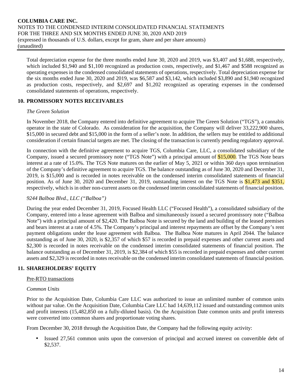Total depreciation expense for the three months ended June 30, 2020 and 2019, was \$3,407 and \$1,688, respectively, which included \$1,940 and \$1,100 recognized as production costs, respectively, and \$1,467 and \$588 recognized as operating expenses in the condensed consolidated statements of operations, respectively. Total depreciation expense for the six months ended June 30, 2020 and 2019, was \$6,587 and \$3,142, which included \$3,890 and \$1,940 recognized as production costs, respectively, and \$2,697 and \$1,202 recognized as operating expenses in the condensed consolidated statements of operations, respectively.

### **10. PROMISSORY NOTES RECEIVABLES**

#### *The Green Solution*

In November 2018, the Company entered into definitive agreement to acquire The Green Solution ("TGS"), a cannabis operator in the state of Colorado. As consideration for the acquisition, the Company will deliver 33,222,900 shares, \$15,000 in secured debt and \$15,000 in the form of a seller's note. In addition, the sellers may be entitled to additional consideration if certain financial targets are met. The closing of the transaction is currently pending regulatory approval.

In connection with the definitive agreement to acquire TGS, Columbia Care, LLC, a consolidated subsidiary of the Company, issued a secured promissory note ("TGS Note") with a principal amount of \$15,000. The TGS Note bears interest at a rate of 15.0%. The TGS Note matures on the earlier of May 5, 2021 or within 360 days upon termination of the Company's definitive agreement to acquire TGS. The balance outstanding as of June 30, 2020 and December 31, 2019, is \$15,000 and is recorded in notes receivable on the condensed interim consolidated statements of financial position. As of June 30, 2020 and December 31, 2019, outstanding interest on the TGS Note is \$1,473 and \$351, respectively, which is in other non-current assets on the condensed interim consolidated statements of financial position.

#### *9244 Balboa Blvd., LLC ("Balboa")*

During the year ended December 31, 2019, Focused Health LLC ("Focused Health"), a consolidated subsidiary of the Company, entered into a lease agreement with Balboa and simultaneously issued a secured promissory note ("Balboa Note") with a principal amount of \$2,420. The Balboa Note is secured by the land and building of the leased premises and bears interest at a rate of 4.5%. The Company's principal and interest repayments are offset by the Company's rent payment obligations under the lease agreement with Balboa. The Balboa Note matures in April 2044. The balance outstanding as of June 30, 2020, is \$2,357 of which \$57 is recorded in prepaid expenses and other current assets and \$2,300 is recorded in notes receivable on the condensed interim consolidated statements of financial position. The balance outstanding as of December 31, 2019, is \$2,384 of which \$55 is recorded in prepaid expenses and other current assets and \$2,329 is recorded in notes receivable on the condensed interim consolidated statements of financial position.

# **11. SHAREHOLDERS' EQUITY**

#### Pre-RTO transactions

#### *Common Units*

Prior to the Acquisition Date, Columbia Care LLC was authorized to issue an unlimited number of common units without par value. On the Acquisition Date, Columbia Care LLC had  $14,639,112$  issued and outstanding common units and profit interests (15,482,850 on a fully-diluted basis). On the Acquisition Date common units and profit interests were converted into common shares and proportionate voting shares.

From December 30, 2018 through the Acquisition Date, the Company had the following equity activity:

• Issued 27,561 common units upon the conversion of principal and accrued interest on convertible debt of \$2,537.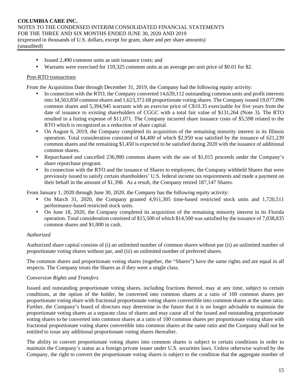- Issued 2,490 common units as unit issuance costs; and
- Warrants were exercised for 159,325 common units at an average per unit price of \$0.01 for \$2.

#### Post-RTO transactions

From the Acquisition Date through December 31, 2019, the Company had the following equity activity:

- In connection with the RTO, the Company converted 14,639,112 outstanding common units and profit interests into 34,563,850 common shares and 1,623,372.68 proportionate voting shares. The Company issued 19,077,096 common shares and 5,394,945 warrants with an exercise price of C\$10.35 exercisable for five years from the date of issuance to existing shareholders of CGGC with a total fair value of \$131,264 (Note 3). The RTO resulted in a listing expense of \$11,071. The Company incurred share issuance costs of \$5,598 related to the RTO which is recognized as a reduction of share capital.
- On August 6, 2019, the Company completed its acquisition of the remaining minority interest in its Illinois operation. Total consideration consisted of \$4,400 of which \$2,950 was satisfied by the issuance of 621,239 common shares and the remaining \$1,450 is expected to be satisfied during 2020 with the issuance of additional common shares.
- Repurchased and cancelled 236,900 common shares with the use of \$1,015 proceeds under the Company's share repurchase program.
- In connection with the RTO and the issuance of Shares to employees, the Company withheld Shares that were previously issued to satisfy certain shareholders' U.S. federal income tax requirements and made a payment on their behalf in the amount of \$1,398. As a result, the Company retired 187,147 Shares.

From January 1, 2020 through June 30, 2020, the Company has the following equity activity:

- On March 31, 2020, the Company granted 4,911,305 time-based restricted stock units and 1,720,511 performance-based restricted stock units.
- On June 18, 2020, the Company completed its acquisition of the remaining minority interest in its Florida operation. Total consideration consisted of \$15,500 of which \$14,500 was satisfied by the issuance of 7,038,835 common shares and \$1,000 in cash.

# *Authorized*

Authorized share capital consists of (i) an unlimited number of common shares without par (ii) an unlimited number of proportionate voting shares without par, and (iii) an unlimited number of preferred shares.

The common shares and proportionate voting shares (together, the "Shares") have the same rights and are equal in all respects. The Company treats the Shares as if they were a single class.

# *Conversion Rights and Transfers*

Issued and outstanding proportionate voting shares, including fractions thereof, may at any time, subject to certain conditions, at the option of the holder, be converted into common shares at a ratio of 100 common shares per proportionate voting share with fractional proportionate voting shares convertible into common shares at the same ratio. Further, the Company's board of directors may determine in the future that it is no longer advisable to maintain the proportionate voting shares as a separate class of shares and may cause all of the issued and outstanding proportionate voting shares to be converted into common shares at a ratio of 100 common shares per proportionate voting share with fractional proportionate voting shares convertible into common shares at the same ratio and the Company shall not be entitled to issue any additional proportionate voting shares thereafter.

The ability to convert proportionate voting shares into common shares is subject to certain conditions in order to maintain the Company's status as a foreign private issuer under U.S. securities laws. Unless otherwise waived by the Company, the right to convert the proportionate voting shares is subject to the condition that the aggregate number of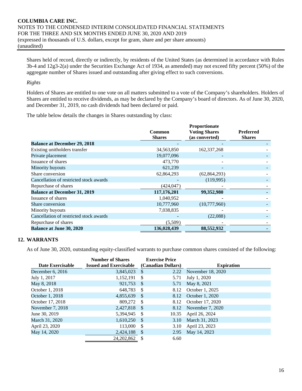Shares held of record, directly or indirectly, by residents of the United States (as determined in accordance with Rules 3b-4 and 12g3-2(a) under the Securities Exchange Act of 1934, as amended) may not exceed fifty percent (50%) of the aggregate number of Shares issued and outstanding after giving effect to such conversions.

#### *Rights*

Holders of Shares are entitled to one vote on all matters submitted to a vote of the Company's shareholders. Holders of Shares are entitled to receive dividends, as may be declared by the Company's board of directors. As of June 30, 2020, and December 31, 2019, no cash dividends had been declared or paid.

The table below details the changes in Shares outstanding by class:

|                                         | Common<br><b>Shares</b> | Proportionate<br><b>Voting Shares</b><br>(as converted) | <b>Preferred</b><br><b>Shares</b> |
|-----------------------------------------|-------------------------|---------------------------------------------------------|-----------------------------------|
| <b>Balance at December 29, 2018</b>     |                         |                                                         |                                   |
| Existing unitholders transfer           | 34,563,850              | 162,337,268                                             |                                   |
| Private placement                       | 19,077,096              |                                                         |                                   |
| Issuance of shares                      | 473,770                 |                                                         |                                   |
| Minority buyouts                        | 621,239                 |                                                         |                                   |
| Share conversion                        | 62,864,293              | (62, 864, 293)                                          |                                   |
| Cancellation of restricted stock awards |                         | (119,995)                                               |                                   |
| Repurchase of shares                    | (424, 047)              |                                                         |                                   |
| <b>Balance at December 31, 2019</b>     | 117,176,201             | 99,352,980                                              |                                   |
| Issuance of shares                      | 1,040,952               |                                                         |                                   |
| Share conversion                        | 10,777,960              | (10,777,960)                                            |                                   |
| Minority buyouts                        | 7,038,835               |                                                         |                                   |
| Cancellation of restricted stock awards |                         | (22,088)                                                |                                   |
| Repurchase of shares                    | (5,509)                 |                                                         |                                   |
| <b>Balance at June 30, 2020</b>         | 136,028,439             | 88,552,932                                              |                                   |

# **12. WARRANTS**

As of June 30, 2020, outstanding equity-classified warrants to purchase common shares consisted of the following:

| Date Exercisable | <b>Number of Shares</b><br><b>Issued and Exercisable</b> |               | <b>Exercise Price</b><br>(Canadian Dollars) | <b>Expiration</b> |
|------------------|----------------------------------------------------------|---------------|---------------------------------------------|-------------------|
| December 6, 2016 | 3,845,023                                                | -\$           | 2.22                                        | November 18, 2020 |
| July 1, 2017     | 1,152,191                                                | \$            | 5.71                                        | July 1, 2020      |
| May 8, 2018      | 921,753                                                  | -S            | 5.71                                        | May 8, 2021       |
| October 1, 2018  | 648,783                                                  | -S            | 8.12                                        | October 1, 2025   |
| October 1, 2018  | 4,855,639                                                | -\$           | 8.12                                        | October 1, 2020   |
| October 17, 2018 | 809,272                                                  | -S            | 8.12                                        | October 17, 2020  |
| November 7, 2018 | 2,427,818                                                | -S            | 8.12                                        | November 7, 2020  |
| June 30, 2019    | 5,394,945                                                | -S            | 10.35                                       | April 26, 2024    |
| March 31, 2020   | 1,610,250                                                | -S            | 3.10                                        | March 31, 2023    |
| April 23, 2020   | 113,000                                                  | <sup>\$</sup> | 3.10                                        | April 23, 2023    |
| May 14, 2020     | 2,424,188                                                | -\$           | 2.95                                        | May 14, 2023      |
|                  | 24, 202, 862                                             |               | 6.60                                        |                   |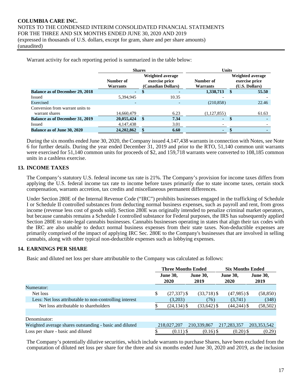| Warrant activity for each reporting period is summarized in the table below: |       |
|------------------------------------------------------------------------------|-------|
| <b>Shares</b>                                                                | Units |
|                                                                              |       |

|                                                    | Number of<br>Warrants | Weighted average<br>exercise price<br>(Canadian Dollars) |       | Number of<br><b>Warrants</b> | <b>Weighted average</b><br>exercise price<br>(U.S. Dollars) |
|----------------------------------------------------|-----------------------|----------------------------------------------------------|-------|------------------------------|-------------------------------------------------------------|
| <b>Balance as of December 29, 2018</b>             | $\sim$                |                                                          |       | 1,338,713                    | 55.50                                                       |
| Issued                                             | 5,394,945             |                                                          | 10.35 |                              |                                                             |
| Exercised                                          |                       |                                                          |       | (210, 858)                   | 22.46                                                       |
| Conversion from warrant units to<br>warrant shares | 14,660,479            |                                                          | 6.23  | (1,127,855)                  | 61.63                                                       |
| <b>Balance as of December 31, 2019</b>             | 20,055,424            | -SS                                                      | 7.34  | ۰.                           |                                                             |
| Issued                                             | 4,147,438             |                                                          | 3.01  |                              |                                                             |
| <b>Balance as of June 30, 2020</b>                 | 24,202,862            |                                                          | 6.60  | ۰.                           |                                                             |

During the six months ended June 30, 2020, the Company issued 4,147,438 warrants in connection with Notes, see Note 6 for further details. During the year ended December 31, 2019 and prior to the RTO, 51,140 common unit warrants were exercised for 51,140 common units for proceeds of \$2, and 159,718 warrants were converted to 108,185 common units in a cashless exercise.

# **13. INCOME TAXES**

The Company's statutory U.S. federal income tax rate is 21%. The Company's provision for income taxes differs from applying the U.S. federal income tax rate to income before taxes primarily due to state income taxes, certain stock compensation, warrants accretion, tax credits and miscellaneous permanent differences.

Under Section 280E of the Internal Revenue Code ("IRC") prohibits businesses engaged in the trafficking of Schedule I or Schedule II controlled substances from deducting normal business expenses, such as payroll and rent, from gross income (revenue less cost of goods sold). Section 280E was originally intended to penalize criminal market operators, but because cannabis remains a Schedule I controlled substance for Federal purposes, the IRS has subsequently applied Section 280E to state-legal cannabis businesses. Cannabis businesses operating in states that align their tax codes with the IRC are also unable to deduct normal business expenses from their state taxes. Non-deductible expenses are primarily comprised of the impact of applying IRC Sec. 280E to the Company's businesses that are involved in selling cannabis, along with other typical non-deductible expenses such as lobbying expenses.

# **14. EARNINGS PER SHARE**

Basic and diluted net loss per share attributable to the Company was calculated as follows:

|                                                         | <b>Three Months Ended</b> |                 |                 | <b>Six Months Ended</b> |                 |  |  |
|---------------------------------------------------------|---------------------------|-----------------|-----------------|-------------------------|-----------------|--|--|
|                                                         |                           | <b>June 30,</b> | <b>June 30,</b> | <b>June 30,</b>         | <b>June 30,</b> |  |  |
|                                                         |                           | 2020            | 2019            | 2020                    | 2019            |  |  |
| Numerator:                                              |                           |                 |                 |                         |                 |  |  |
| Net loss                                                | \$                        | $(27, 337)$ \$  | $(33,718)$ \$   | $(47,985)$ \$           | (58, 850)       |  |  |
| Less: Net loss attributable to non-controlling interest |                           | (3,203)         | (76)            | (3,741)                 | (348)           |  |  |
| Net loss attributable to shareholders                   |                           | $(24, 134)$ \$  | $(33, 642)$ \$  | $(44,244)$ \$           | (58, 502)       |  |  |
|                                                         |                           |                 |                 |                         |                 |  |  |
| Denominator:                                            |                           |                 |                 |                         |                 |  |  |
| Weighted average shares outstanding - basic and diluted |                           | 218,027,207     | 210,339,867     | 217, 283, 357           | 203, 353, 542   |  |  |
| Loss per share - basic and diluted                      |                           | $(0.11)$ \$     | $(0.16)$ \$     | $(0.20)$ \$             | (0.29)          |  |  |

The Company's potentially dilutive securities, which include warrants to purchase Shares, have been excluded from the computation of diluted net loss per share for the three and six months ended June 30, 2020 and 2019, as the inclusion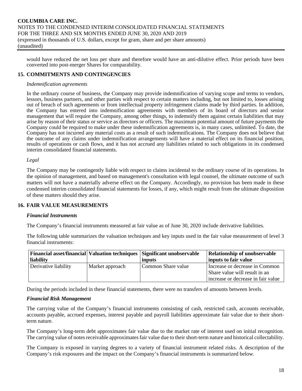would have reduced the net loss per share and therefore would have an anti-dilutive effect. Prior periods have been converted into post-merger Shares for comparability.

### **15. COMMITMENTS AND CONTINGENCIES**

#### *Indemnification agreements*

In the ordinary course of business, the Company may provide indemnification of varying scope and terms to vendors, lessors, business partners, and other parties with respect to certain matters including, but not limited to, losses arising out of breach of such agreements or from intellectual property infringement claims made by third parties. In addition, the Company has entered into indemnification agreements with members of its board of directors and senior management that will require the Company, among other things, to indemnify them against certain liabilities that may arise by reason of their status or service as directors or officers. The maximum potential amount of future payments the Company could be required to make under these indemnification agreements is, in many cases, unlimited. To date, the Company has not incurred any material costs as a result of such indemnifications. The Company does not believe that the outcome of any claims under indemnification arrangements will have a material effect on its financial position, results of operations or cash flows, and it has not accrued any liabilities related to such obligations in its condensed interim consolidated financial statements.

#### *Legal*

The Company may be contingently liable with respect to claims incidental to the ordinary course of its operations. In the opinion of management, and based on management's consultation with legal counsel, the ultimate outcome of such matters will not have a materially adverse effect on the Company. Accordingly, no provision has been made in these condensed interim consolidated financial statements for losses, if any, which might result from the ultimate disposition of these matters should they arise.

#### **16. FAIR VALUE MEASUREMENTS**

#### *Financial Instruments*

The Company's financial instruments measured at fair value as of June 30, 2020 include derivative liabilities.

The following table summarizes the valuation techniques and key inputs used in the fair value measurement of level 3 financial instruments:

|                      |                 | <b>Financial asset/financial Valuation techniques Significant unobservable</b> | <b>Relationship of unobservable</b>                                                                   |
|----------------------|-----------------|--------------------------------------------------------------------------------|-------------------------------------------------------------------------------------------------------|
| liability            |                 | inputs                                                                         | inputs to fair value                                                                                  |
| Derivative liability | Market approach | Common Share value                                                             | Increase or decrease in Common<br>Share value will result in an<br>increase or decrease in fair value |

During the periods included in these financial statements, there were no transfers of amounts between levels.

#### *Financial Risk Management*

The carrying value of the Company's financial instruments consisting of cash, restricted cash, accounts receivable, accounts payable, accrued expenses, interest payable and payroll liabilities approximate fair value due to their shortterm nature.

The Company's long-term debt approximates fair value due to the market rate of interest used on initial recognition. The carrying value of notes receivable approximates fair value due to their short-term nature and historical collectability.

The Company is exposed in varying degrees to a variety of financial instrument related risks. A description of the Company's risk exposures and the impact on the Company's financial instruments is summarized below.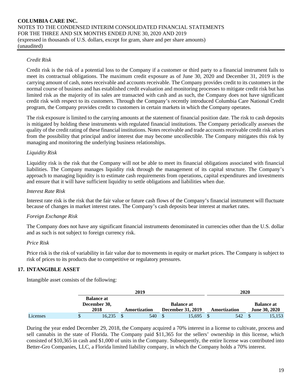# *Credit Risk*

Credit risk is the risk of a potential loss to the Company if a customer or third party to a financial instrument fails to meet its contractual obligations. The maximum credit exposure as of June 30, 2020 and December 31, 2019 is the carrying amount of cash, notes receivable and accounts receivable. The Company provides credit to its customers in the normal course of business and has established credit evaluation and monitoring processes to mitigate credit risk but has limited risk as the majority of its sales are transacted with cash and as such, the Company does not have significant credit risk with respect to its customers. Through the Company's recently introduced Columbia Care National Credit program, the Company provides credit to customers in certain markets in which the Company operates.

The risk exposure is limited to the carrying amounts at the statement of financial position date. The risk to cash deposits is mitigated by holding these instruments with regulated financial institutions. The Company periodically assesses the quality of the credit rating of these financial institutions. Notes receivable and trade accounts receivable credit risk arises from the possibility that principal and/or interest due may become uncollectible. The Company mitigates this risk by managing and monitoring the underlying business relationships.

### *Liquidity Risk*

Liquidity risk is the risk that the Company will not be able to meet its financial obligations associated with financial liabilities. The Company manages liquidity risk through the management of its capital structure. The Company's approach to managing liquidity is to estimate cash requirements from operations, capital expenditures and investments and ensure that it will have sufficient liquidity to settle obligations and liabilities when due.

#### *Interest Rate Risk*

Interest rate risk is the risk that the fair value or future cash flows of the Company's financial instrument will fluctuate because of changes in market interest rates. The Company's cash deposits bear interest at market rates.

#### *Foreign Exchange Risk*

The Company does not have any significant financial instruments denominated in currencies other than the U.S. dollar and as such is not subject to foreign currency risk.

#### *Price Risk*

Price risk is the risk of variability in fair value due to movements in equity or market prices. The Company is subject to risk of prices to its products due to competitive or regulatory pressures.

#### **17. INTANGIBLE ASSET**

Intangible asset consists of the following:

|          |                                   |              | 2020 |                          |                   |  |              |  |                   |  |
|----------|-----------------------------------|--------------|------|--------------------------|-------------------|--|--------------|--|-------------------|--|
|          | <b>Balance at</b><br>December 30, |              |      |                          | <b>Balance at</b> |  |              |  | <b>Balance at</b> |  |
|          | 2018                              | Amortization |      | <b>December 31, 2019</b> |                   |  | Amortization |  | June 30, 2020     |  |
| Licenses | 16.235                            |              | 540  |                          | 15.695            |  | 542          |  | 15,153            |  |

During the year ended December 29, 2018, the Company acquired a 70% interest in a license to cultivate, process and sell cannabis in the state of Florida. The Company paid \$11,365 for the sellers' ownership in this license, which consisted of \$10,365 in cash and \$1,000 of units in the Company. Subsequently, the entire license was contributed into Better-Gro Companies, LLC, a Florida limited liability company, in which the Company holds a 70% interest.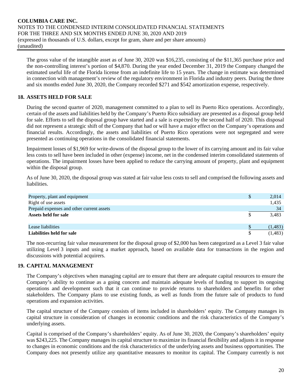The gross value of the intangible asset as of June 30, 2020 was \$16,235, consisting of the \$11,365 purchase price and the non-controlling interest's portion of \$4,870. During the year ended December 31, 2019 the Company changed the estimated useful life of the Florida license from an indefinite life to 15 years. The change in estimate was determined in connection with management's review of the regulatory environment in Florida and industry peers. During the three and six months ended June 30, 2020, the Company recorded \$271 and \$542 amortization expense, respectively.

# **18. ASSETS HELD FOR SALE**

During the second quarter of 2020, management committed to a plan to sell its Puerto Rico operations. Accordingly, certain of the assets and liabilities held by the Company's Puerto Rico subsidiary are presented as a disposal group held for sale. Efforts to sell the disposal group have started and a sale is expected by the second half of 2020. This disposal did not represent a strategic shift of the Company that had or will have a major effect on the Company's operations and financial results. Accordingly, the assets and liabilities of Puerto Rico operations were not segregated and were presented as continuing operations in the consolidated financial statements.

Impairment losses of \$1,969 for write-downs of the disposal group to the lower of its carrying amount and its fair value less costs to sell have been included in other (expense) income, net in the condensed interim consolidated statements of operations. The impairment losses have been applied to reduce the carrying amount of property, plant and equipment within the disposal group.

As of June 30, 2020, the disposal group was stated at fair value less costs to sell and comprised the following assets and liabilities.

| Property, plant and equipment             | S | 2,014    |
|-------------------------------------------|---|----------|
| Right of use assets                       |   | 1,435    |
| Prepaid expenses and other current assets |   | 34       |
| Assets held for sale                      |   | 3,483    |
|                                           |   |          |
| Lease liabilities                         |   | (1, 483) |
| Liabilities held for sale                 |   | (1, 483) |

The non-recurring fair value measurement for the disposal group of \$2,000 has been categorized as a Level 3 fair value utilizing Level 3 inputs and using a market approach, based on available data for transactions in the region and discussions with potential acquirers.

#### **19. CAPITAL MANAGEMENT**

The Company's objectives when managing capital are to ensure that there are adequate capital resources to ensure the Company's ability to continue as a going concern and maintain adequate levels of funding to support its ongoing operations and development such that it can continue to provide returns to shareholders and benefits for other stakeholders. The Company plans to use existing funds, as well as funds from the future sale of products to fund operations and expansion activities.

The capital structure of the Company consists of items included in shareholders' equity. The Company manages its capital structure in consideration of changes in economic conditions and the risk characteristics of the Company's underlying assets.

Capital is comprised of the Company's shareholders' equity. As of June 30, 2020, the Company's shareholders' equity was \$243,225. The Company manages its capital structure to maximize its financial flexibility and adjusts it in response to changes in economic conditions and the risk characteristics of the underlying assets and business opportunities. The Company does not presently utilize any quantitative measures to monitor its capital. The Company currently is not